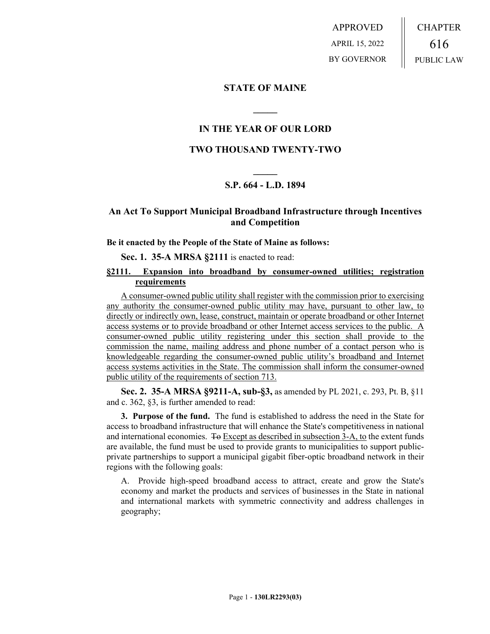APPROVED APRIL 15, 2022 BY GOVERNOR CHAPTER 616 PUBLIC LAW

### **STATE OF MAINE**

# **IN THE YEAR OF OUR LORD**

**\_\_\_\_\_**

### **TWO THOUSAND TWENTY-TWO**

# **\_\_\_\_\_ S.P. 664 - L.D. 1894**

# **An Act To Support Municipal Broadband Infrastructure through Incentives and Competition**

#### **Be it enacted by the People of the State of Maine as follows:**

#### **Sec. 1. 35-A MRSA §2111** is enacted to read:

#### **§2111. Expansion into broadband by consumer-owned utilities; registration requirements**

A consumer-owned public utility shall register with the commission prior to exercising any authority the consumer-owned public utility may have, pursuant to other law, to directly or indirectly own, lease, construct, maintain or operate broadband or other Internet access systems or to provide broadband or other Internet access services to the public. A consumer-owned public utility registering under this section shall provide to the commission the name, mailing address and phone number of a contact person who is knowledgeable regarding the consumer-owned public utility's broadband and Internet access systems activities in the State. The commission shall inform the consumer-owned public utility of the requirements of section 713.

**Sec. 2. 35-A MRSA §9211-A, sub-§3,** as amended by PL 2021, c. 293, Pt. B, §11 and c. 362, §3, is further amended to read:

**3. Purpose of the fund.** The fund is established to address the need in the State for access to broadband infrastructure that will enhance the State's competitiveness in national and international economies. To Except as described in subsection 3-A, to the extent funds are available, the fund must be used to provide grants to municipalities to support publicprivate partnerships to support a municipal gigabit fiber-optic broadband network in their regions with the following goals:

A. Provide high-speed broadband access to attract, create and grow the State's economy and market the products and services of businesses in the State in national and international markets with symmetric connectivity and address challenges in geography;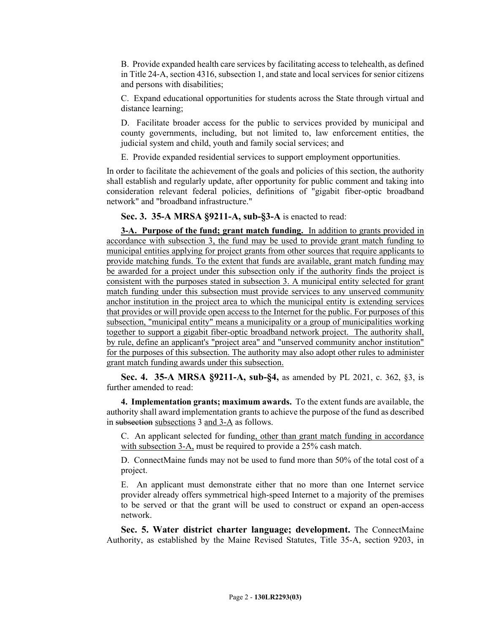B. Provide expanded health care services by facilitating access to telehealth, as defined in Title 24‑A, section 4316, subsection 1, and state and local services for senior citizens and persons with disabilities;

C. Expand educational opportunities for students across the State through virtual and distance learning;

D. Facilitate broader access for the public to services provided by municipal and county governments, including, but not limited to, law enforcement entities, the judicial system and child, youth and family social services; and

E. Provide expanded residential services to support employment opportunities.

In order to facilitate the achievement of the goals and policies of this section, the authority shall establish and regularly update, after opportunity for public comment and taking into consideration relevant federal policies, definitions of "gigabit fiber-optic broadband network" and "broadband infrastructure."

**Sec. 3. 35-A MRSA §9211-A, sub-§3-A** is enacted to read:

**3-A. Purpose of the fund; grant match funding.** In addition to grants provided in accordance with subsection 3, the fund may be used to provide grant match funding to municipal entities applying for project grants from other sources that require applicants to provide matching funds. To the extent that funds are available, grant match funding may be awarded for a project under this subsection only if the authority finds the project is consistent with the purposes stated in subsection 3. A municipal entity selected for grant match funding under this subsection must provide services to any unserved community anchor institution in the project area to which the municipal entity is extending services that provides or will provide open access to the Internet for the public. For purposes of this subsection, "municipal entity" means a municipality or a group of municipalities working together to support a gigabit fiber-optic broadband network project. The authority shall, by rule, define an applicant's "project area" and "unserved community anchor institution" for the purposes of this subsection. The authority may also adopt other rules to administer grant match funding awards under this subsection.

**Sec. 4. 35-A MRSA §9211-A, sub-§4,** as amended by PL 2021, c. 362, §3, is further amended to read:

**4. Implementation grants; maximum awards.** To the extent funds are available, the authority shall award implementation grants to achieve the purpose of the fund as described in subsection subsections 3 and 3-A as follows.

C. An applicant selected for funding, other than grant match funding in accordance with subsection 3-A, must be required to provide a 25% cash match.

D. ConnectMaine funds may not be used to fund more than 50% of the total cost of a project.

E. An applicant must demonstrate either that no more than one Internet service provider already offers symmetrical high-speed Internet to a majority of the premises to be served or that the grant will be used to construct or expand an open-access network.

**Sec. 5. Water district charter language; development.** The ConnectMaine Authority, as established by the Maine Revised Statutes, Title 35-A, section 9203, in